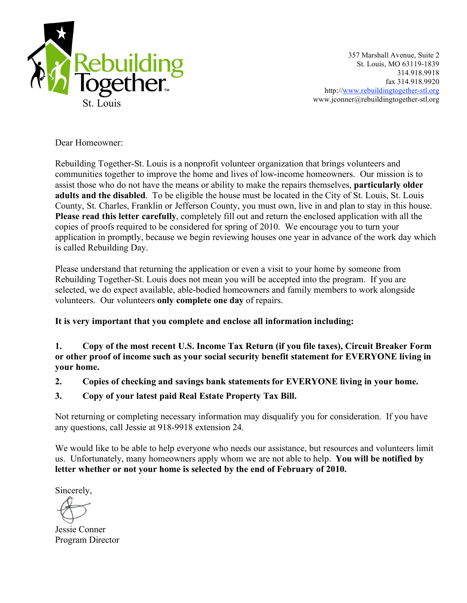

357 Marshall Avenue, Suite 2 St. Louis, MO 63119-1839 314.918.9918 fax 314.918.9920 http://www.rebuildingtogether-stl.org www.jconner@rebuildingtogether-stl.org

Dear Homeowner:

Rebuilding Together-St. Louis is a nonprofit volunteer organization that brings volunteers and communities together to improve the home and lives of low-income homeowners. Our mission is to assist those who do not have the means or ability to make the repairs themselves, **particularly older adults and the disabled**. To be eligible the house must be located in the City of St. Louis, St. Louis County, St. Charles, Franklin or Jefferson County, you must own, live in and plan to stay in this house. **Please read this letter carefully**, completely fill out and return the enclosed application with all the copies of proofs required to be considered for spring of 2010. We encourage you to turn your application in promptly, because we begin reviewing houses one year in advance of the work day which is called Rebuilding Day.

Please understand that returning the application or even a visit to your home by someone from Rebuilding Together-St. Louis does not mean you will be accepted into the program. If you are selected, we do expect available, able-bodied homeowners and family members to work alongside volunteers. Our volunteers **only complete one day** of repairs.

**It is very important that you complete and enclose all information including:**

**1. Copy of the most recent U.S. Income Tax Return (if you file taxes), Circuit Breaker Form or other proof of income such as your social security benefit statement for EVERYONE living in your home.** 

- **2. Copies of checking and savings bank statements for EVERYONE living in your home.**
- **3. Copy of your latest paid Real Estate Property Tax Bill.**

Not returning or completing necessary information may disqualify you for consideration. If you have any questions, call Jessie at 918-9918 extension 24.

We would like to be able to help everyone who needs our assistance, but resources and volunteers limit us. Unfortunately, many homeowners apply whom we are not able to help. **You will be notified by letter whether or not your home is selected by the end of February of 2010.**

Sincerely,

Jessie Conner Program Director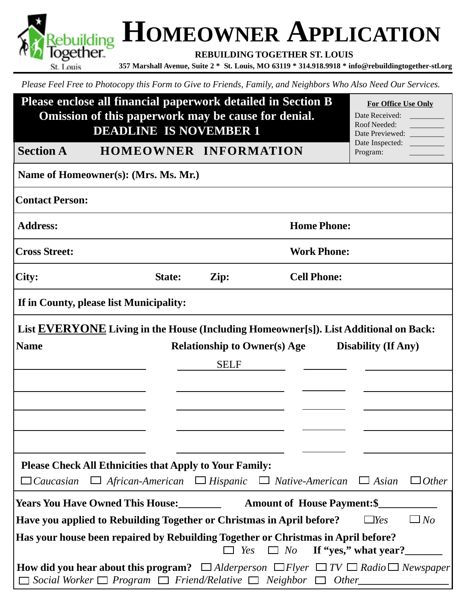**HOMEOWNER APPLICATION 357 Marshall Avenue, Suite 2 \* St. Louis, MO 63119 \* 314.918.9918 \* info@rebuildingtogether-stl.org**<br>St. Louis, 357 Marshall Avenue, Suite 2 \* St. Louis, MO 63119 \* 314.918.9918 \* info@rebuildingtogether-stl.org **REBUILDING TOGETHER ST. LOUIS** St. Louis

*Please Feel Free to Photocopy this Form to Give to Friends, Family, and Neighbors Who Also Need Our Services.*

| Please enclose all financial paperwork detailed in Section B<br>Omission of this paperwork may be cause for denial.<br><b>DEADLINE IS NOVEMBER 1</b> |                                                                     |                                     | For Office Use Only<br>Date Received:<br>Roof Needed:<br>Date Previewed:                              |                                                                                                                     |
|------------------------------------------------------------------------------------------------------------------------------------------------------|---------------------------------------------------------------------|-------------------------------------|-------------------------------------------------------------------------------------------------------|---------------------------------------------------------------------------------------------------------------------|
| <b>Section A</b>                                                                                                                                     | HOMEOWNER INFORMATION                                               |                                     |                                                                                                       | Date Inspected:<br>Program:                                                                                         |
|                                                                                                                                                      | Name of Homeowner(s): (Mrs. Ms. Mr.)                                |                                     |                                                                                                       |                                                                                                                     |
| <b>Contact Person:</b>                                                                                                                               |                                                                     |                                     |                                                                                                       |                                                                                                                     |
| <b>Address:</b>                                                                                                                                      |                                                                     |                                     | <b>Home Phone:</b>                                                                                    |                                                                                                                     |
| <b>Cross Street:</b>                                                                                                                                 |                                                                     |                                     | <b>Work Phone:</b>                                                                                    |                                                                                                                     |
| City:                                                                                                                                                | State:                                                              | Zip:                                | <b>Cell Phone:</b>                                                                                    |                                                                                                                     |
|                                                                                                                                                      | If in County, please list Municipality:                             |                                     |                                                                                                       |                                                                                                                     |
|                                                                                                                                                      |                                                                     |                                     | List <b>EVERYONE</b> Living in the House (Including Homeowner[s]). List Additional on Back:           |                                                                                                                     |
| <b>Name</b>                                                                                                                                          |                                                                     | <b>Relationship to Owner(s) Age</b> |                                                                                                       | <b>Disability (If Any)</b>                                                                                          |
|                                                                                                                                                      |                                                                     | <b>SELF</b>                         |                                                                                                       |                                                                                                                     |
|                                                                                                                                                      |                                                                     |                                     |                                                                                                       |                                                                                                                     |
|                                                                                                                                                      |                                                                     |                                     |                                                                                                       |                                                                                                                     |
|                                                                                                                                                      |                                                                     |                                     |                                                                                                       |                                                                                                                     |
|                                                                                                                                                      |                                                                     |                                     |                                                                                                       |                                                                                                                     |
| $\Box$ Caucasian                                                                                                                                     | <b>Please Check All Ethnicities that Apply to Your Family:</b>      |                                     | $\Box$ African-American $\Box$ Hispanic $\Box$ Native-American                                        | $\Box$ Other<br>$\Box$ Asian                                                                                        |
|                                                                                                                                                      |                                                                     |                                     | <b>Amount of House Payment: \$</b>                                                                    |                                                                                                                     |
|                                                                                                                                                      |                                                                     |                                     | Have you applied to Rebuilding Together or Christmas in April before?                                 | $\Box$ No<br>$\Box$ Yes                                                                                             |
|                                                                                                                                                      |                                                                     |                                     | Has your house been repaired by Rebuilding Together or Christmas in April before?<br>$\Box$ No<br>Yes | If "yes," what year?                                                                                                |
|                                                                                                                                                      | Social Worker $\Box$ Program $\Box$ Friend/Relative $\Box$ Neighbor |                                     | $\Box$ Other                                                                                          | <b>How did you hear about this program?</b> $\Box$ Alderperson $\Box$ Flyer $\Box$ TV $\Box$ Radio $\Box$ Newspaper |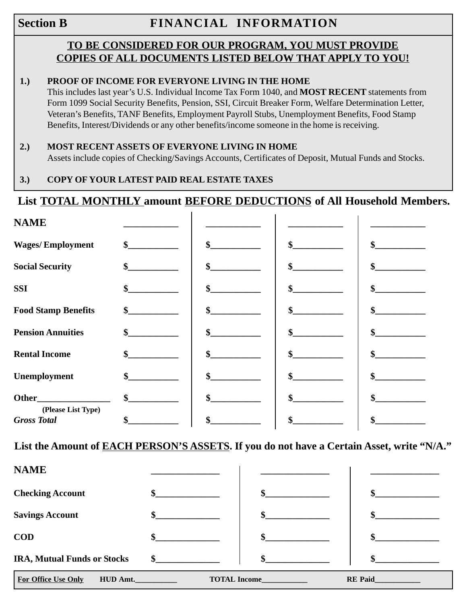# **Section B** FINANCIAL INFORMATION

# **TO BE CONSIDERED FOR OUR PROGRAM, YOU MUST PROVIDE COPIES OF ALL DOCUMENTS LISTED BELOW THAT APPLY TO YOU!**

#### **1.) PROOF OF INCOME FOR EVERYONE LIVING IN THE HOME**

This includes last year's U.S. Individual Income Tax Form 1040, and **MOST RECENT** statements from Form 1099 Social Security Benefits, Pension, SSI, Circuit Breaker Form, Welfare Determination Letter, Veteran's Benefits, TANF Benefits, Employment Payroll Stubs, Unemployment Benefits, Food Stamp Benefits, Interest/Dividends or any other benefits/income someone in the home is receiving.

#### **2.) MOST RECENT ASSETS OF EVERYONE LIVING IN HOME**

Assets include copies of Checking/Savings Accounts, Certificates of Deposit, Mutual Funds and Stocks.

### **3.) COPY OF YOUR LATEST PAID REAL ESTATE TAXES**

# **List TOTAL MONTHLY amount BEFORE DEDUCTIONS of All Household Members.**

| <b>NAME</b>                                                                                                                                                                                                                         |                   |          |    |
|-------------------------------------------------------------------------------------------------------------------------------------------------------------------------------------------------------------------------------------|-------------------|----------|----|
| <b>Wages/Employment</b>                                                                                                                                                                                                             | \$                | \$<br>\$ | \$ |
| <b>Social Security</b>                                                                                                                                                                                                              | \$                | \$<br>\$ | \$ |
| <b>SSI</b>                                                                                                                                                                                                                          | \$                | \$<br>\$ | \$ |
| <b>Food Stamp Benefits</b>                                                                                                                                                                                                          | \$                | \$<br>\$ | \$ |
| <b>Pension Annuities</b>                                                                                                                                                                                                            | \$                | \$<br>\$ | \$ |
| <b>Rental Income</b>                                                                                                                                                                                                                | \$                | \$<br>\$ | \$ |
| Unemployment                                                                                                                                                                                                                        | \$                | \$<br>\$ | \$ |
| <b>Other</b> control of the control of the control of the control of the control of the control of the control of the control of the control of the control of the control of the control of the control of the control of the cont | $\boldsymbol{\$}$ | \$<br>\$ | \$ |
| (Please List Type)<br><b>Gross Total</b>                                                                                                                                                                                            | \$                | Φ        | \$ |

**List the Amount of EACH PERSON'S ASSETS. If you do not have a Certain Asset, write "N/A."**